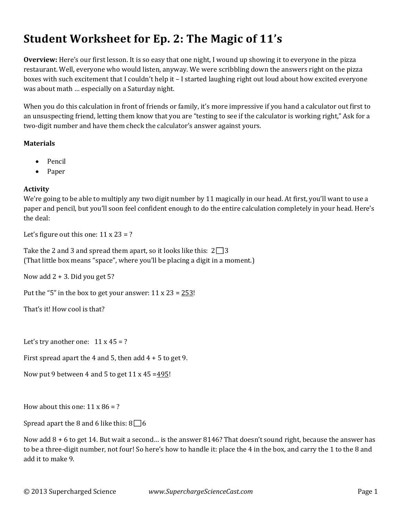# **Student Worksheet for Ep. 2: The Magic of 11's**

**Overview:** Here's our first lesson. It is so easy that one night, I wound up showing it to everyone in the pizza restaurant. Well, everyone who would listen, anyway. We were scribbling down the answers right on the pizza boxes with such excitement that I couldn't help it - I started laughing right out loud about how excited everyone was about math ... especially on a Saturday night.

When you do this calculation in front of friends or family, it's more impressive if you hand a calculator out first to an unsuspecting friend, letting them know that you are "testing to see if the calculator is working right," Ask for a two-digit number and have them check the calculator's answer against yours.

### **Materials**

- Pencil
- Paper

## **Activity**

We're going to be able to multiply any two digit number by 11 magically in our head. At first, you'll want to use a paper and pencil, but you'll soon feel confident enough to do the entire calculation completely in your head. Here's the deal:

Let's figure out this one:  $11 \times 23 = ?$ 

Take the 2 and 3 and spread them apart, so it looks like this:  $2\Box 3$ (That little box means "space", where you'll be placing a digit in a moment.)

Now add  $2 + 3$ . Did you get 5?

Put the "5" in the box to get your answer:  $11 \times 23 = 253!$ 

That's it! How cool is that?

Let's try another one:  $11 \times 45 = ?$ 

First spread apart the 4 and 5, then add  $4 + 5$  to get 9.

Now put 9 between 4 and 5 to get  $11 \times 45 = 495!$ 

How about this one:  $11 \times 86 = ?$ 

Spread apart the 8 and 6 like this:  $8\Box 6$ 

Now add  $8 + 6$  to get 14. But wait a second... is the answer 8146? That doesn't sound right, because the answer has to be a three-digit number, not four! So here's how to handle it: place the 4 in the box, and carry the 1 to the 8 and add it to make 9.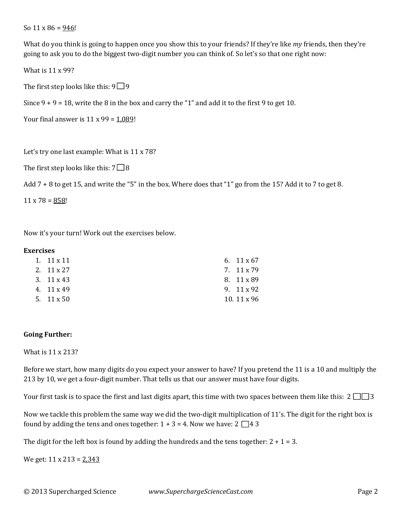So  $11 \times 86 = 946!$ 

What do you think is going to happen once you show this to your friends? If they're like *my* friends, then they're going to ask you to do the biggest two-digit number you can think of. So let's so that one right now:

What is  $11 \times 99$ ?

The first step looks like this:  $9\Box 9$ 

Since  $9 + 9 = 18$ , write the 8 in the box and carry the "1" and add it to the first 9 to get 10.

Your final answer is  $11 \times 99 = 1,089!$ 

Let's try one last example: What is  $11 \times 78$ ?

The first step looks like this:  $7 \square 8$ 

Add  $7 + 8$  to get 15, and write the "5" in the box. Where does that "1" go from the 15? Add it to 7 to get 8.

 $11 \times 78 = 858!$ 

Now it's your turn! Work out the exercises below.

#### **Exercises**

| 1. $11 \times 11$ | 6. $11 \times 67$  |
|-------------------|--------------------|
| 2. $11 \times 27$ | 7. 11 x 79         |
| 3. $11 \times 43$ | 8. 11 x 89         |
| 4. 11 x 49        | 9. 11 x 92         |
| 5. $11 \times 50$ | 10. $11 \times 96$ |

#### **Going Further:**

What is  $11 \times 213$ ?

Before we start, how many digits do you expect your answer to have? If you pretend the 11 is a 10 and multiply the 213 by 10, we get a four-digit number. That tells us that our answer must have four digits.

Your first task is to space the first and last digits apart, this time with two spaces between them like this:  $2 \Box \Box 3$ 

Now we tackle this problem the same way we did the two-digit multiplication of 11's. The digit for the right box is found by adding the tens and ones together:  $1 + 3 = 4$ . Now we have:  $2 \Box 4 \Box 3$ 

The digit for the left box is found by adding the hundreds and the tens together:  $2 + 1 = 3$ .

We get:  $11 \times 213 = 2,343$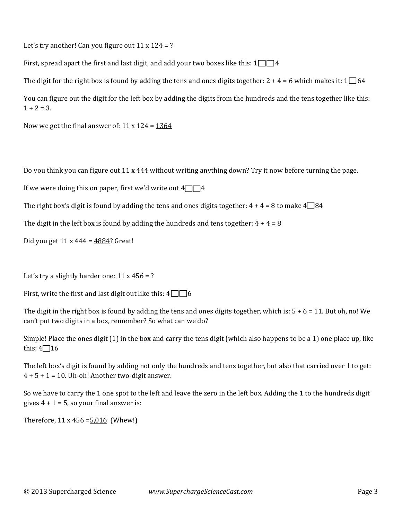Let's try another! Can you figure out  $11 \times 124 = ?$ 

First, spread apart the first and last digit, and add your two boxes like this:  $1 \square \square 4$ 

The digit for the right box is found by adding the tens and ones digits together:  $2 + 4 = 6$  which makes it:  $1 \square 64$ 

You can figure out the digit for the left box by adding the digits from the hundreds and the tens together like this:  $1 + 2 = 3$ .

Now we get the final answer of:  $11 \times 124 = 1364$ 

Do you think you can figure out  $11 \times 444$  without writing anything down? Try it now before turning the page.

If we were doing this on paper, first we'd write out  $4\sqrt{14}$ 

The right box's digit is found by adding the tens and ones digits together:  $4 + 4 = 8$  to make  $4\Box 84$ 

The digit in the left box is found by adding the hundreds and tens together:  $4 + 4 = 8$ 

Did you get  $11 \times 444 = 4884$ ? Great!

Let's try a slightly harder one:  $11 \times 456 = ?$ 

First, write the first and last digit out like this:  $4\Box$  6

The digit in the right box is found by adding the tens and ones digits together, which is:  $5 + 6 = 11$ . But oh, no! We can't put two digits in a box, remember? So what can we do?

Simple! Place the ones digit  $(1)$  in the box and carry the tens digit (which also happens to be a 1) one place up, like this:  $4\Box 16$ 

The left box's digit is found by adding not only the hundreds and tens together, but also that carried over 1 to get:  $4 + 5 + 1 = 10$ . Uh-oh! Another two-digit answer.

So we have to carry the 1 one spot to the left and leave the zero in the left box. Adding the 1 to the hundreds digit gives  $4 + 1 = 5$ , so your final answer is:

Therefore,  $11 \times 456 = 5,016$  (Whew!)